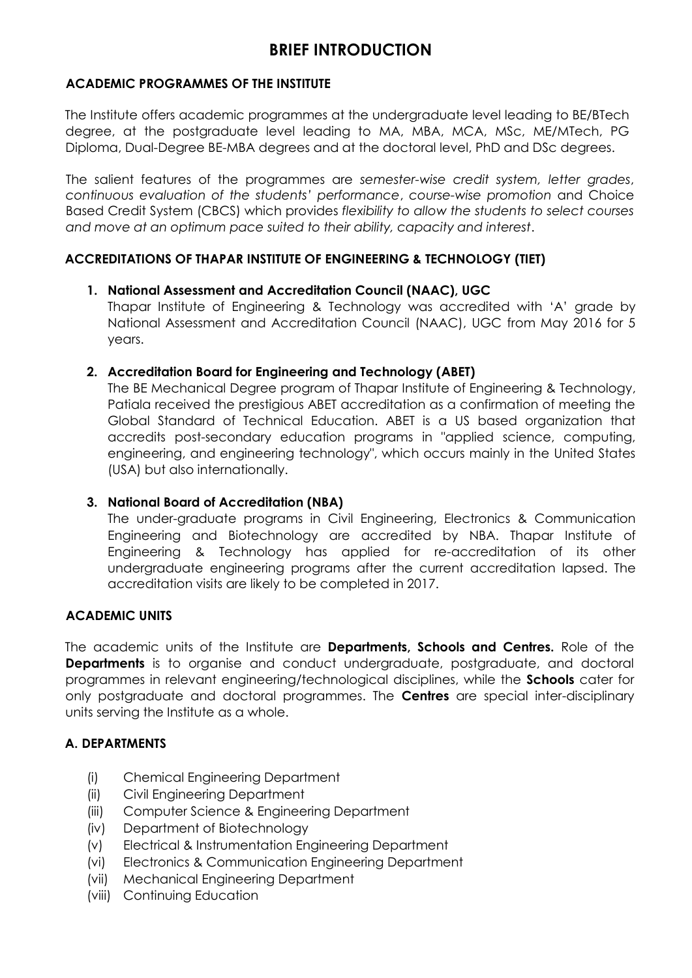# **BRIEF INTRODUCTION**

## **ACADEMIC PROGRAMMES OF THE INSTITUTE**

The Institute offers academic programmes at the undergraduate level leading to BE/BTech degree, at the postgraduate level leading to MA, MBA, MCA, MSc, ME/MTech, PG Diploma, Dual-Degree BE-MBA degrees and at the doctoral level, PhD and DSc degrees.

The salient features of the programmes are *semester-wise credit system, letter grades*, *continuous evaluation of the students' performance*, *course-wise promotion* and Choice Based Credit System (CBCS) which provides *flexibility to allow the students to select courses and move at an optimum pace suited to their ability, capacity and interest*.

# **ACCREDITATIONS OF THAPAR INSTITUTE OF ENGINEERING & TECHNOLOGY (TIET)**

## **1. National Assessment and Accreditation Council (NAAC), UGC**

Thapar Institute of Engineering & Technology was accredited with 'A' grade by National Assessment and Accreditation Council (NAAC), UGC from May 2016 for 5 years.

## **2. Accreditation Board for Engineering and Technology (ABET)**

The BE Mechanical Degree program of Thapar Institute of Engineering & Technology, Patiala received the prestigious ABET accreditation as a confirmation of meeting the Global Standard of Technical Education. ABET is a US based organization that accredits post-secondary education programs in "applied science, computing, engineering, and engineering technology", which occurs mainly in the United States (USA) but also internationally.

# **3. National Board of Accreditation (NBA)**

The under-graduate programs in Civil Engineering, Electronics & Communication Engineering and Biotechnology are accredited by NBA. Thapar Institute of Engineering & Technology has applied for re-accreditation of its other undergraduate engineering programs after the current accreditation lapsed. The accreditation visits are likely to be completed in 2017.

#### **ACADEMIC UNITS**

The academic units of the Institute are **Departments, Schools and Centres.** Role of the **Departments** is to organise and conduct undergraduate, postgraduate, and doctoral programmes in relevant engineering/technological disciplines, while the **Schools** cater for only postgraduate and doctoral programmes. The **Centres** are special inter-disciplinary units serving the Institute as a whole.

#### **A. DEPARTMENTS**

- (i) Chemical Engineering Department
- (ii) Civil Engineering Department
- (iii) Computer Science & Engineering Department
- (iv) Department of Biotechnology
- (v) Electrical & Instrumentation Engineering Department
- (vi) Electronics & Communication Engineering Department
- (vii) Mechanical Engineering Department
- (viii) Continuing Education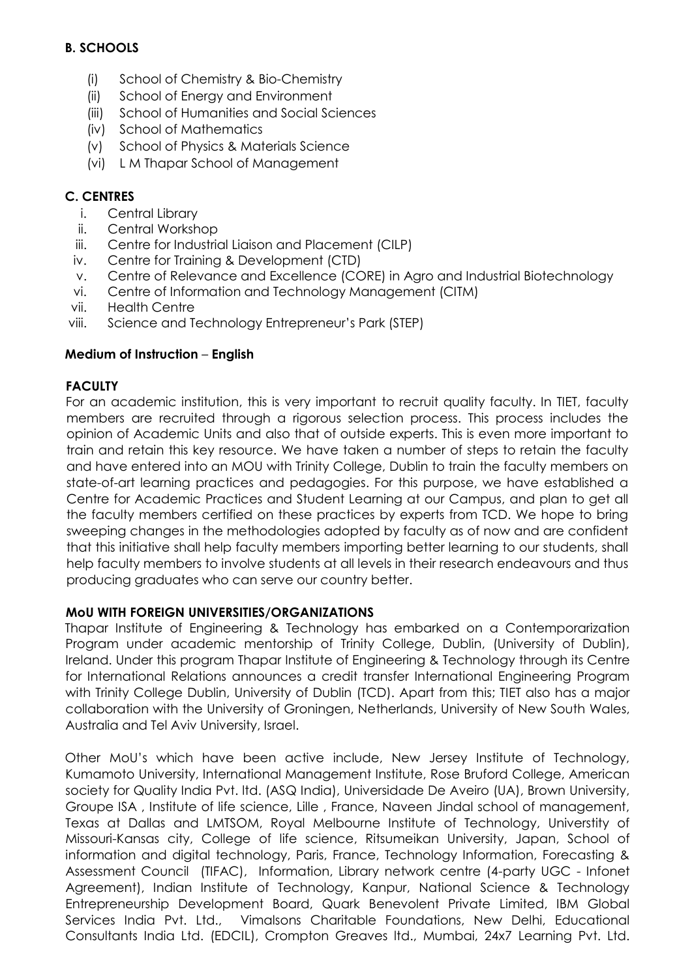# **B. SCHOOLS**

- (i) School of Chemistry & Bio-Chemistry
- (ii) School of Energy and Environment
- (iii) School of Humanities and Social Sciences
- (iv) School of Mathematics
- (v) School of Physics & Materials Science
- (vi) L M Thapar School of Management

# **C. CENTRES**

- i. Central Library
- ii. Central Workshop
- iii. Centre for Industrial Liaison and Placement (CILP)
- iv. Centre for Training & Development (CTD)
- v. Centre of Relevance and Excellence (CORE) in Agro and Industrial Biotechnology
- vi. Centre of Information and Technology Management (CITM)
- vii. Health Centre
- viii. Science and Technology Entrepreneur's Park (STEP)

# **Medium of Instruction** – **English**

# **FACULTY**

For an academic institution, this is very important to recruit quality faculty. In TIET, faculty members are recruited through a rigorous selection process. This process includes the opinion of Academic Units and also that of outside experts. This is even more important to train and retain this key resource. We have taken a number of steps to retain the faculty and have entered into an MOU with Trinity College, Dublin to train the faculty members on state-of-art learning practices and pedagogies. For this purpose, we have established a Centre for Academic Practices and Student Learning at our Campus, and plan to get all the faculty members certified on these practices by experts from TCD. We hope to bring sweeping changes in the methodologies adopted by faculty as of now and are confident that this initiative shall help faculty members importing better learning to our students, shall help faculty members to involve students at all levels in their research endeavours and thus producing graduates who can serve our country better.

# **MoU WITH FOREIGN UNIVERSITIES/ORGANIZATIONS**

Thapar Institute of Engineering & Technology has embarked on a Contemporarization Program under academic mentorship of Trinity College, Dublin, (University of Dublin), Ireland. Under this program Thapar Institute of Engineering & Technology through its Centre for International Relations announces a credit transfer International Engineering Program with Trinity College Dublin, University of Dublin (TCD). Apart from this; TIET also has a major collaboration with the University of Groningen, Netherlands, University of New South Wales, Australia and Tel Aviv University, Israel.

Other MoU's which have been active include, New Jersey Institute of Technology, Kumamoto University, International Management Institute, Rose Bruford College, American society for Quality India Pvt. ltd. (ASQ India), Universidade De Aveiro (UA), Brown University, Groupe ISA , Institute of life science, Lille , France, Naveen Jindal school of management, Texas at Dallas and LMTSOM, Royal Melbourne Institute of Technology, Universtity of Missouri-Kansas city, College of life science, Ritsumeikan University, Japan, School of information and digital technology, Paris, France, Technology Information, Forecasting & Assessment Council (TIFAC), Information, Library network centre (4-party UGC - Infonet Agreement), Indian Institute of Technology, Kanpur, National Science & Technology Entrepreneurship Development Board, Quark Benevolent Private Limited, IBM Global Services India Pvt. Ltd., Vimalsons Charitable Foundations, New Delhi, Educational Consultants India Ltd. (EDCIL), Crompton Greaves ltd., Mumbai, 24x7 Learning Pvt. Ltd.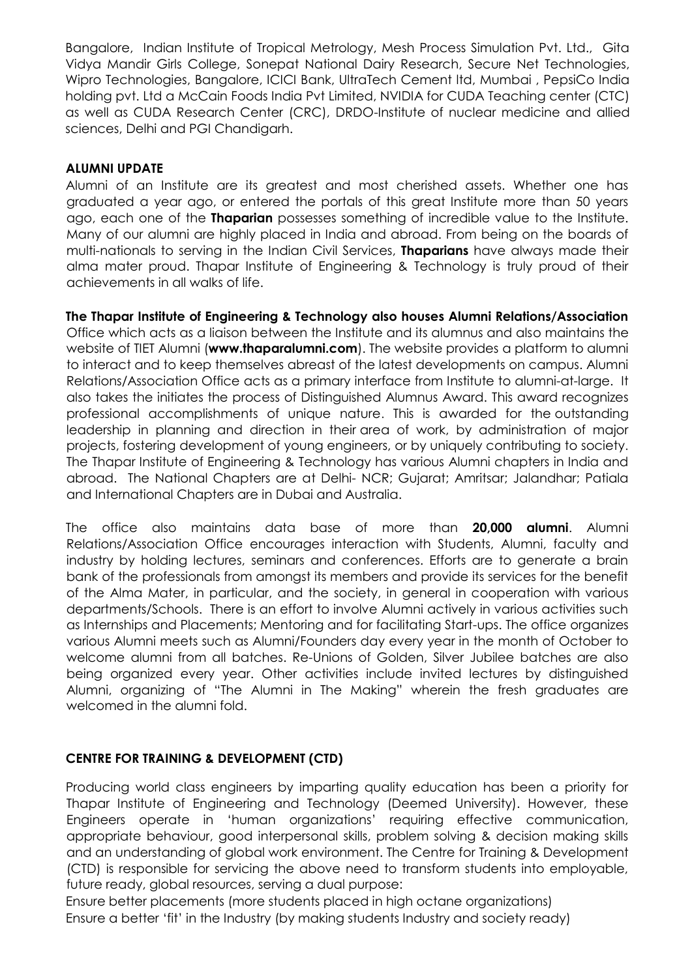Bangalore, Indian Institute of Tropical Metrology, Mesh Process Simulation Pvt. Ltd., Gita Vidya Mandir Girls College, Sonepat National Dairy Research, Secure Net Technologies, Wipro Technologies, Bangalore, ICICI Bank, UltraTech Cement ltd, Mumbai , PepsiCo India holding pvt. Ltd a McCain Foods India Pvt Limited, NVIDIA for CUDA Teaching center (CTC) as well as CUDA Research Center (CRC), DRDO-Institute of nuclear medicine and allied sciences, Delhi and PGI Chandigarh.

# **ALUMNI UPDATE**

Alumni of an Institute are its greatest and most cherished assets. Whether one has graduated a year ago, or entered the portals of this great Institute more than 50 years ago, each one of the **Thaparian** possesses something of incredible value to the Institute. Many of our alumni are highly placed in India and abroad. From being on the boards of multi-nationals to serving in the Indian Civil Services, **Thaparians** have always made their alma mater proud. Thapar Institute of Engineering & Technology is truly proud of their achievements in all walks of life.

**The Thapar Institute of Engineering & Technology also houses Alumni Relations/Association** Office which acts as a liaison between the Institute and its alumnus and also maintains the website of TIET Alumni (**www.thaparalumni.com**). The website provides a platform to alumni to interact and to keep themselves abreast of the latest developments on campus. Alumni Relations/Association Office acts as a primary interface from Institute to alumni-at-large. It also takes the initiates the process of Distinguished Alumnus Award. This award recognizes professional accomplishments of unique nature. This is awarded for the outstanding leadership in planning and direction in their area of work, by administration of major projects, fostering development of young engineers, or by uniquely contributing to society. The Thapar Institute of Engineering & Technology has various Alumni chapters in India and abroad. The National Chapters are at Delhi- NCR; Gujarat; Amritsar; Jalandhar; Patiala and International Chapters are in Dubai and Australia.

The office also maintains data base of more than **20,000 alumni**. Alumni Relations/Association Office encourages interaction with Students, Alumni, faculty and industry by holding lectures, seminars and conferences. Efforts are to generate a brain bank of the professionals from amongst its members and provide its services for the benefit of the Alma Mater, in particular, and the society, in general in cooperation with various departments/Schools. There is an effort to involve Alumni actively in various activities such as Internships and Placements; Mentoring and for facilitating Start-ups. The office organizes various Alumni meets such as Alumni/Founders day every year in the month of October to welcome alumni from all batches. Re-Unions of Golden, Silver Jubilee batches are also being organized every year. Other activities include invited lectures by distinguished Alumni, organizing of "The Alumni in The Making" wherein the fresh graduates are welcomed in the alumni fold.

# **CENTRE FOR TRAINING & DEVELOPMENT (CTD)**

Producing world class engineers by imparting quality education has been a priority for Thapar Institute of Engineering and Technology (Deemed University). However, these Engineers operate in 'human organizations' requiring effective communication, appropriate behaviour, good interpersonal skills, problem solving & decision making skills and an understanding of global work environment. The Centre for Training & Development (CTD) is responsible for servicing the above need to transform students into employable, future ready, global resources, serving a dual purpose:

Ensure better placements (more students placed in high octane organizations) Ensure a better 'fit' in the Industry (by making students Industry and society ready)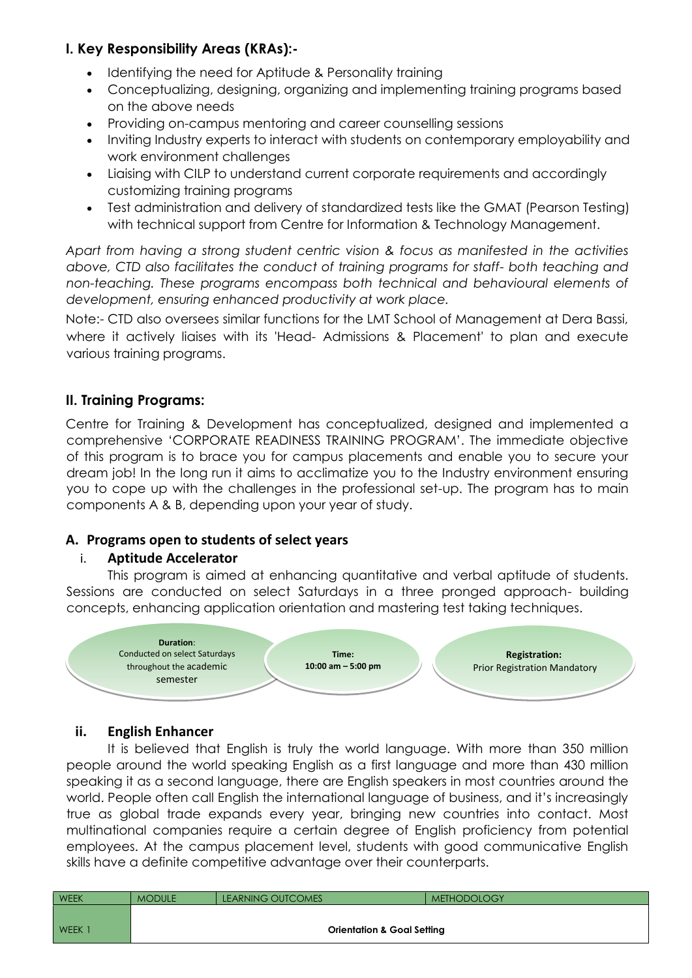# **I. Key Responsibility Areas (KRAs):-**

- Identifying the need for Aptitude & Personality training
- Conceptualizing, designing, organizing and implementing training programs based on the above needs
- Providing on-campus mentoring and career counselling sessions
- Inviting Industry experts to interact with students on contemporary employability and work environment challenges
- Liaising with CILP to understand current corporate requirements and accordingly customizing training programs
- Test administration and delivery of standardized tests like the GMAT (Pearson Testing) with technical support from Centre for Information & Technology Management.

*Apart from having a strong student centric vision & focus as manifested in the activities above, CTD also facilitates the conduct of training programs for staff- both teaching and non-teaching. These programs encompass both technical and behavioural elements of development, ensuring enhanced productivity at work place.*

Note:- CTD also oversees similar functions for the LMT School of Management at Dera Bassi, where it actively liaises with its 'Head- Admissions & Placement' to plan and execute various training programs.

# **II. Training Programs:**

Centre for Training & Development has conceptualized, designed and implemented a comprehensive 'CORPORATE READINESS TRAINING PROGRAM'. The immediate objective of this program is to brace you for campus placements and enable you to secure your dream job! In the long run it aims to acclimatize you to the Industry environment ensuring you to cope up with the challenges in the professional set-up. The program has to main components A & B, depending upon your year of study.

# **A. Programs open to students of select years**

# i. **Aptitude Accelerator**

This program is aimed at enhancing quantitative and verbal aptitude of students. Sessions are conducted on select Saturdays in a three pronged approach- building concepts, enhancing application orientation and mastering test taking techniques.



# **ii. English Enhancer**

It is believed that English is truly the world language. With more than 350 million people around the world speaking English as a first language and more than 430 million speaking it as a second language, there are English speakers in most countries around the world. People often call English the international language of business, and it's increasingly true as global trade expands every year, bringing new countries into contact. Most multinational companies require a certain degree of English proficiency from potential employees. At the campus placement level, students with good communicative English skills have a definite competitive advantage over their counterparts.

| WEEK        | <b>MODULE</b>                         | <b>LEARNING OUTCOMES</b> | <b>METHODOLOGY</b> |  |  |  |  |  |
|-------------|---------------------------------------|--------------------------|--------------------|--|--|--|--|--|
|             |                                       |                          |                    |  |  |  |  |  |
| <b>WEEK</b> | <b>Orientation &amp; Goal Setting</b> |                          |                    |  |  |  |  |  |
|             |                                       |                          |                    |  |  |  |  |  |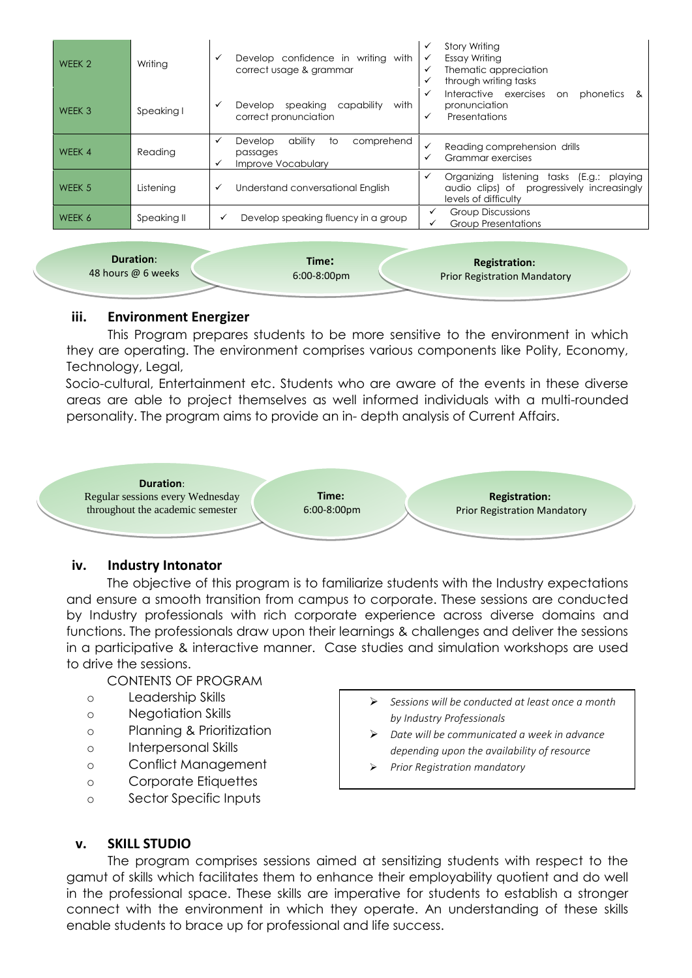| WEEK <sub>2</sub> | Writing     | Develop confidence in writing with<br>✓<br>correct usage & grammar                 | <b>Story Writing</b><br>✓<br>Essay Writing<br>✓<br>Thematic appreciation<br>✓<br>through writing tasks<br>✓             |
|-------------------|-------------|------------------------------------------------------------------------------------|-------------------------------------------------------------------------------------------------------------------------|
| WEEK 3            | Speaking I  | with<br>speaking<br>capability<br>Develop<br>✓<br>correct pronunciation            | Interactive exercises<br>phonetics<br>✓<br>on<br>- &<br>pronunciation<br>Presentations<br>✓                             |
| WEEK 4            | Reading     | ability<br>comprehend<br>Develop<br>✓<br>to<br>passages<br>Improve Vocabulary<br>✓ | Reading comprehension drills<br>✓<br>Grammar exercises                                                                  |
| WEEK 5            | Listening   | Understand conversational English<br>✓                                             | listening tasks (E.g.: playing<br>Organizing<br>✓<br>audio clips) of progressively increasingly<br>levels of difficulty |
| WEEK 6            | Speaking II | Develop speaking fluency in a group<br>✓                                           | <b>Group Discussions</b><br><b>Group Presentations</b>                                                                  |

| <b>Duration:</b>   | Time:                 | <b>Registration:</b>                |  |
|--------------------|-----------------------|-------------------------------------|--|
| 48 hours @ 6 weeks | $6:00-8:00 \text{pm}$ | <b>Prior Registration Mandatory</b> |  |
|                    |                       |                                     |  |

## **iii. Environment Energizer**

This Program prepares students to be more sensitive to the environment in which they are operating. The environment comprises various components like Polity, Economy, Technology, Legal,

Socio-cultural, Entertainment etc. Students who are aware of the events in these diverse areas are able to project themselves as well informed individuals with a multi-rounded personality. The program aims to provide an in- depth analysis of Current Affairs.



# **iv. Industry Intonator**

The objective of this program is to familiarize students with the Industry expectations and ensure a smooth transition from campus to corporate. These sessions are conducted by Industry professionals with rich corporate experience across diverse domains and functions. The professionals draw upon their learnings & challenges and deliver the sessions in a participative & interactive manner. Case studies and simulation workshops are used to drive the sessions.

CONTENTS OF PROGRAM

- o Leadership Skills
- o Negotiation Skills
- o Planning & Prioritization
- o Interpersonal Skills
- o Conflict Management
- o Corporate Etiquettes
- o Sector Specific Inputs
- *Sessions will be conducted at least once a month by Industry Professionals*
- *Date will be communicated a week in advance depending upon the availability of resource*
- *Prior Registration mandatory*

# **v. SKILL STUDIO**

The program comprises sessions aimed at sensitizing students with respect to the gamut of skills which facilitates them to enhance their employability quotient and do well in the professional space. These skills are imperative for students to establish a stronger connect with the environment in which they operate. An understanding of these skills enable students to brace up for professional and life success.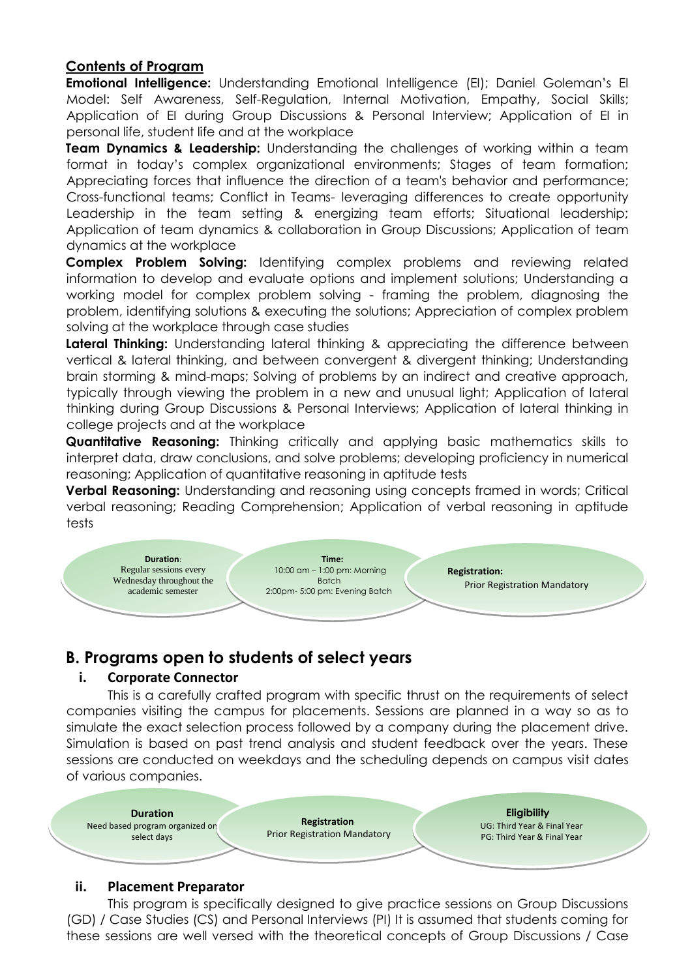# **Contents of Program**

**Emotional Intelligence:** Understanding Emotional Intelligence (EI); Daniel Goleman's EI Model: Self Awareness, Self-Regulation, Internal Motivation, Empathy, Social Skills; Application of EI during Group Discussions & Personal Interview; Application of EI in personal life, student life and at the workplace

**Team Dynamics & Leadership:** Understanding the challenges of working within a team format in today's complex organizational environments; Stages of team formation; Appreciating forces that influence the direction of a team's behavior and performance; Cross-functional teams; Conflict in Teams- leveraging differences to create opportunity Leadership in the team setting & energizing team efforts; Situational leadership; Application of team dynamics & collaboration in Group Discussions; Application of team dynamics at the workplace

**Complex Problem Solving:** Identifying complex problems and reviewing related information to develop and evaluate options and implement solutions; Understanding a working model for complex problem solving - framing the problem, diagnosing the problem, identifying solutions & executing the solutions; Appreciation of complex problem solving at the workplace through case studies

Lateral Thinking: Understanding lateral thinking & appreciating the difference between vertical & lateral thinking, and between convergent & divergent thinking; Understanding brain storming & mind-maps; Solving of problems by an indirect and creative approach, typically through viewing the problem in a new and unusual light; Application of lateral thinking during Group Discussions & Personal Interviews; Application of lateral thinking in college projects and at the workplace

**Quantitative Reasoning:** Thinking critically and applying basic mathematics skills to interpret data, draw conclusions, and solve problems; developing proficiency in numerical reasoning; Application of quantitative reasoning in aptitude tests

**Verbal Reasoning:** Understanding and reasoning using concepts framed in words; Critical verbal reasoning; Reading Comprehension; Application of verbal reasoning in aptitude tests



# **B. Programs open to students of select years**

# **i. Corporate Connector**

This is a carefully crafted program with specific thrust on the requirements of select companies visiting the campus for placements. Sessions are planned in a way so as to simulate the exact selection process followed by a company during the placement drive. Simulation is based on past trend analysis and student feedback over the years. These sessions are conducted on weekdays and the scheduling depends on campus visit dates of various companies.



#### **ii. Placement Preparator**

This program is specifically designed to give practice sessions on Group Discussions (GD) / Case Studies (CS) and Personal Interviews (PI) It is assumed that students coming for these sessions are well versed with the theoretical concepts of Group Discussions / Case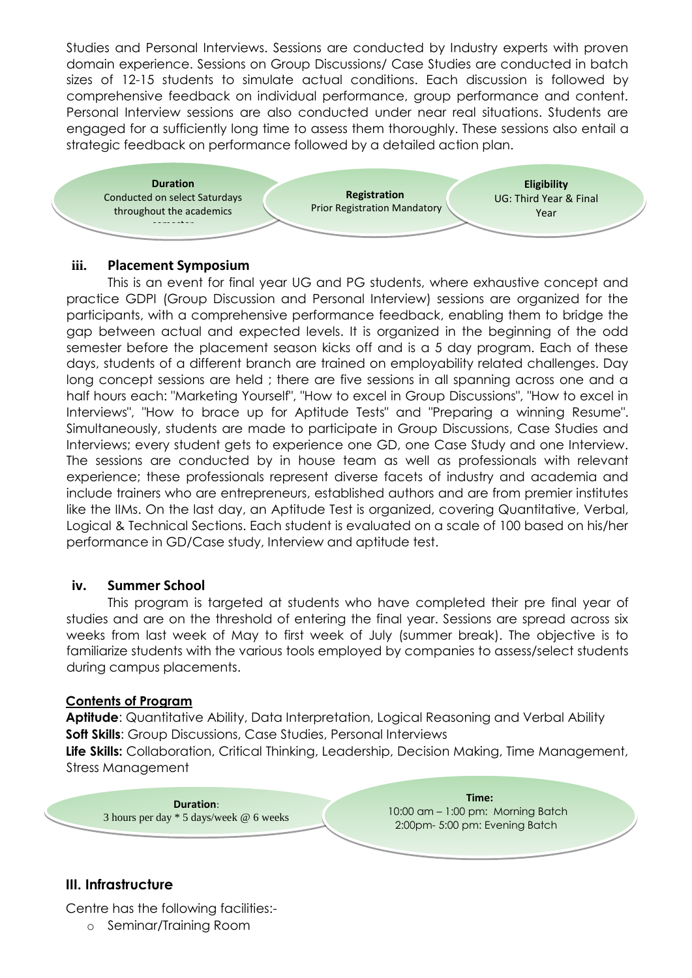Studies and Personal Interviews. Sessions are conducted by Industry experts with proven domain experience. Sessions on Group Discussions/ Case Studies are conducted in batch sizes of 12-15 students to simulate actual conditions. Each discussion is followed by comprehensive feedback on individual performance, group performance and content. Personal Interview sessions are also conducted under near real situations. Students are engaged for a sufficiently long time to assess them thoroughly. These sessions also entail a strategic feedback on performance followed by a detailed action plan.



## **iii. Placement Symposium**

This is an event for final year UG and PG students, where exhaustive concept and practice GDPI (Group Discussion and Personal Interview) sessions are organized for the participants, with a comprehensive performance feedback, enabling them to bridge the gap between actual and expected levels. It is organized in the beginning of the odd semester before the placement season kicks off and is a 5 day program. Each of these days, students of a different branch are trained on employability related challenges. Day long concept sessions are held ; there are five sessions in all spanning across one and a half hours each: "Marketing Yourself", "How to excel in Group Discussions", "How to excel in Interviews", "How to brace up for Aptitude Tests" and "Preparing a winning Resume". Simultaneously, students are made to participate in Group Discussions, Case Studies and Interviews; every student gets to experience one GD, one Case Study and one Interview. The sessions are conducted by in house team as well as professionals with relevant experience; these professionals represent diverse facets of industry and academia and include trainers who are entrepreneurs, established authors and are from premier institutes like the IIMs. On the last day, an Aptitude Test is organized, covering Quantitative, Verbal, Logical & Technical Sections. Each student is evaluated on a scale of 100 based on his/her performance in GD/Case study, Interview and aptitude test.

# **iv. Summer School**

This program is targeted at students who have completed their pre final year of studies and are on the threshold of entering the final year. Sessions are spread across six weeks from last week of May to first week of July (summer break). The objective is to familiarize students with the various tools employed by companies to assess/select students during campus placements.

#### **Contents of Program**

**Aptitude**: Quantitative Ability, Data Interpretation, Logical Reasoning and Verbal Ability **Soft Skills:** Group Discussions, Case Studies, Personal Interviews **Life Skills:** Collaboration, Critical Thinking, Leadership, Decision Making, Time Management, Stress Management

**Duration**: 3 hours per day \* 5 days/week @ 6 weeks

**Time:** 10:00 am – 1:00 pm: Morning Batch 2:00pm- 5:00 pm: Evening Batch

# **III. Infrastructure**

Centre has the following facilities:-

o Seminar/Training Room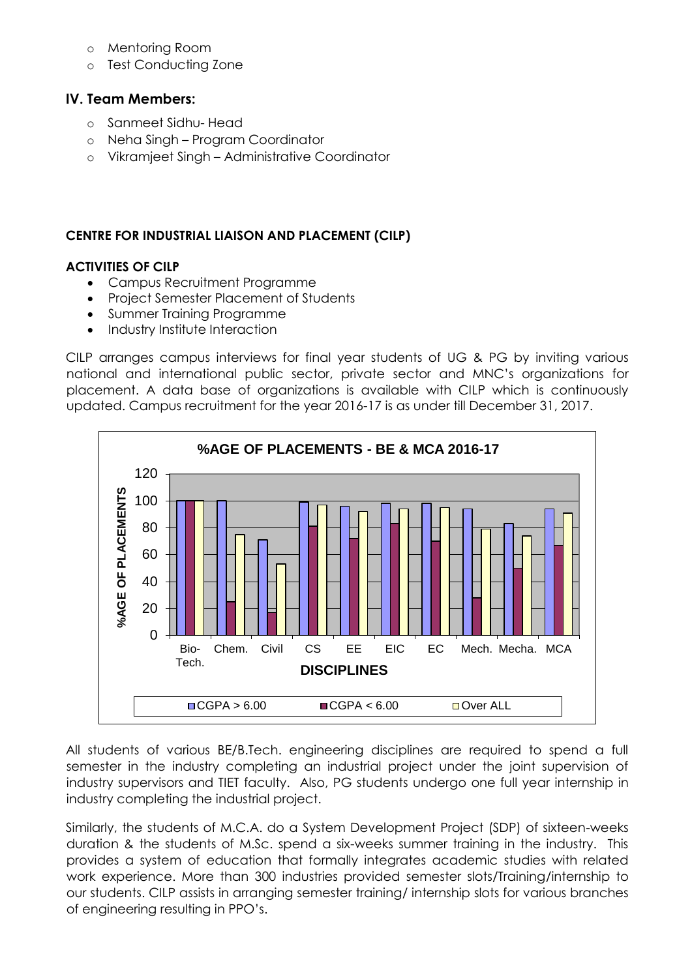- o Mentoring Room
- o Test Conducting Zone

# **IV. Team Members:**

- o Sanmeet Sidhu- Head
- o Neha Singh Program Coordinator
- o Vikramjeet Singh Administrative Coordinator

# **CENTRE FOR INDUSTRIAL LIAISON AND PLACEMENT (CILP)**

# **ACTIVITIES OF CILP**

- Campus Recruitment Programme
- Project Semester Placement of Students
- Summer Training Programme
- Industry Institute Interaction

CILP arranges campus interviews for final year students of UG & PG by inviting various national and international public sector, private sector and MNC's organizations for placement. A data base of organizations is available with CILP which is continuously updated. Campus recruitment for the year 2016-17 is as under till December 31, 2017.



All students of various BE/B.Tech. engineering disciplines are required to spend a full semester in the industry completing an industrial project under the joint supervision of industry supervisors and TIET faculty. Also, PG students undergo one full year internship in industry completing the industrial project.

Similarly, the students of M.C.A. do a System Development Project (SDP) of sixteen-weeks duration & the students of M.Sc. spend a six-weeks summer training in the industry. This provides a system of education that formally integrates academic studies with related work experience. More than 300 industries provided semester slots/Training/internship to our students. CILP assists in arranging semester training/ internship slots for various branches of engineering resulting in PPO's.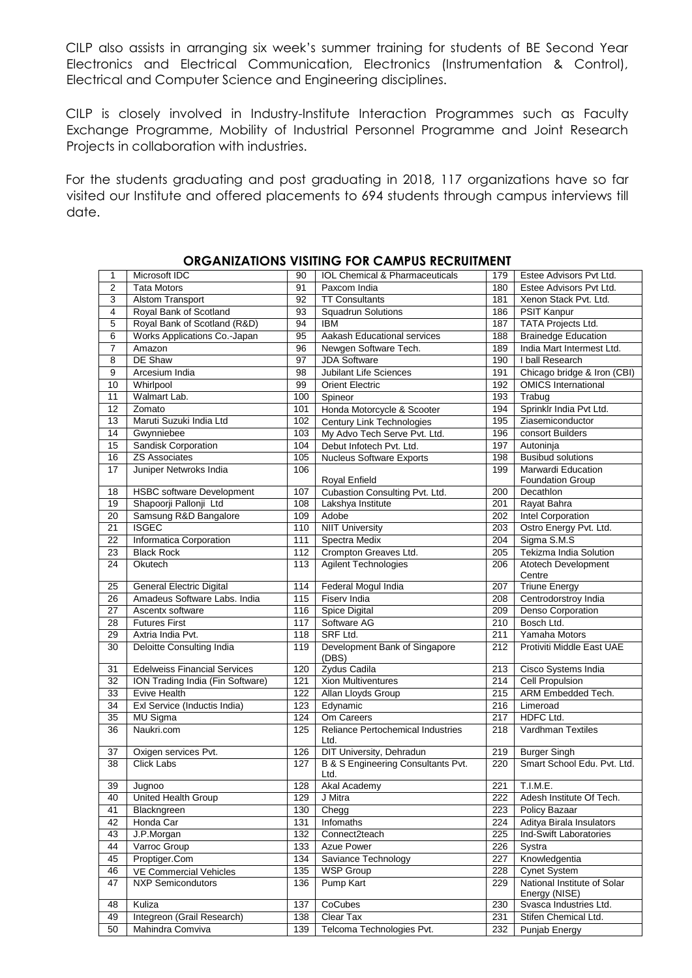CILP also assists in arranging six week's summer training for students of BE Second Year Electronics and Electrical Communication, Electronics (Instrumentation & Control), Electrical and Computer Science and Engineering disciplines.

CILP is closely involved in Industry-Institute Interaction Programmes such as Faculty Exchange Programme, Mobility of Industrial Personnel Programme and Joint Research Projects in collaboration with industries.

For the students graduating and post graduating in 2018, 117 organizations have so far visited our Institute and offered placements to 694 students through campus interviews till date.

| 1               | Microsoft IDC                       | 90              | IOL Chemical & Pharmaceuticals                   | 179              | Estee Advisors Pvt Ltd.                      |
|-----------------|-------------------------------------|-----------------|--------------------------------------------------|------------------|----------------------------------------------|
| $\overline{2}$  | <b>Tata Motors</b>                  | 91              | Paxcom India                                     | 180              | Estee Advisors Pvt Ltd.                      |
| 3               | <b>Alstom Transport</b>             | 92              | <b>TT Consultants</b>                            | 181              | Xenon Stack Pvt. Ltd.                        |
| 4               | Royal Bank of Scotland              | 93              | <b>Squadrun Solutions</b>                        | 186              | <b>PSIT Kanpur</b>                           |
| 5               | Royal Bank of Scotland (R&D)        | 94              | <b>IBM</b>                                       | 187              | <b>TATA Projects Ltd.</b>                    |
| 6               | Works Applications Co.-Japan        | $\overline{95}$ | Aakash Educational services                      | 188              | <b>Brainedge Education</b>                   |
| $\overline{7}$  | Amazon                              | 96              | Newgen Software Tech.                            | 189              | India Mart Intermest Ltd.                    |
| 8               | DE Shaw                             | 97              | <b>JDA Software</b>                              | 190              | I ball Research                              |
| 9               | Arcesium India                      | 98              | <b>Jubilant Life Sciences</b>                    | 191              | Chicago bridge & Iron (CBI)                  |
| 10              | Whirlpool                           | 99              | <b>Orient Electric</b>                           | 192              | <b>OMICS</b> International                   |
| 11              | Walmart Lab.                        | 100             | Spineor                                          | 193              | Trabug                                       |
| $\overline{12}$ | Zomato                              | 101             | Honda Motorcycle & Scooter                       | 194              | Sprinklr India Pvt Ltd.                      |
| 13              | Maruti Suzuki India Ltd             | 102             | Century Link Technologies                        | 195              | Ziasemiconductor                             |
| 14              | Gwynniebee                          | 103             | My Advo Tech Serve Pvt. Ltd.                     | 196              | consort Builders                             |
| 15              | Sandisk Corporation                 | 104             | Debut Infotech Pvt. Ltd.                         | 197              | Autoninja                                    |
| 16              | <b>ZS Associates</b>                | 105             | <b>Nucleus Software Exports</b>                  | 198              | <b>Busibud solutions</b>                     |
| $\overline{17}$ | Juniper Netwroks India              | 106             |                                                  | 199              | Marwardi Education                           |
|                 |                                     |                 | <b>Royal Enfield</b>                             |                  | <b>Foundation Group</b>                      |
| 18              | <b>HSBC</b> software Development    | 107             | Cubastion Consulting Pvt. Ltd.                   | 200              | Decathlon                                    |
| 19              | Shapoorji Pallonji Ltd              | 108             | Lakshya Institute                                | 201              | Rayat Bahra                                  |
| 20              | Samsung R&D Bangalore               | 109             | Adobe                                            | 202              | <b>Intel Corporation</b>                     |
| $\overline{21}$ | <b>ISGEC</b>                        | 110             | <b>NIIT University</b>                           | $\overline{203}$ | Ostro Energy Pvt. Ltd.                       |
| $\overline{22}$ | Informatica Corporation             | 111             | <b>Spectra Medix</b>                             | $\overline{204}$ | Sigma S.M.S                                  |
| 23              | <b>Black Rock</b>                   | 112             | Crompton Greaves Ltd.                            | 205              | Tekizma India Solution                       |
| 24              | Okutech                             | 113             | <b>Agilent Technologies</b>                      | 206              | Atotech Development                          |
|                 |                                     |                 |                                                  |                  | Centre                                       |
| 25              | General Electric Digital            | 114             | Federal Mogul India                              | 207              | <b>Triune Energy</b>                         |
| 26              | Amadeus Software Labs, India        | 115             | Fiserv India                                     | 208              | Centrodorstroy India                         |
| $\overline{27}$ | Ascentx software                    | 116             | Spice Digital                                    | 209              | Denso Corporation                            |
| 28              | <b>Futures First</b>                | 117             | Software AG                                      | 210              | Bosch Ltd.                                   |
| 29              | Axtria India Pvt.                   | 118             | SRF Ltd.                                         | 211              | Yamaha Motors                                |
| 30              | Deloitte Consulting India           | 119             | Development Bank of Singapore<br>(DBS)           | 212              | Protiviti Middle East UAE                    |
| 31              | <b>Edelweiss Financial Services</b> | 120             | Zydus Cadila                                     | 213              | Cisco Systems India                          |
| 32              | ION Trading India (Fin Software)    | 121             | <b>Xion Multiventures</b>                        | 214              | <b>Cell Propulsion</b>                       |
| $\overline{33}$ | Evive Health                        | 122             | Allan Lloyds Group                               | 215              | ARM Embedded Tech.                           |
| $\overline{34}$ | Exl Service (Inductis India)        | 123             | Edynamic                                         | 216              | Limeroad                                     |
| 35              | <b>MU Sigma</b>                     | 124             | Om Careers                                       | 217              | HDFC Ltd.                                    |
| 36              | Naukri.com                          | 125             | <b>Reliance Pertochemical Industries</b><br>Ltd. | 218              | Vardhman Textiles                            |
| 37              | Oxigen services Pvt.                | 126             | DIT University, Dehradun                         | 219              | <b>Burger Singh</b>                          |
| 38              | Click Labs                          | 127             | B & S Engineering Consultants Pvt.<br>Ltd.       | 220              | Smart School Edu. Pvt. Ltd.                  |
| 39              | Jugnoo                              | 128             | Akal Academy                                     |                  | 221 T.I.M.E.                                 |
| 40              | United Health Group                 | 129             | J Mitra                                          | 222              | Adesh Institute Of Tech.                     |
| 41              | Blackngreen                         | 130             | Chegg                                            | 223              | Policy Bazaar                                |
| 42              | Honda Car                           | 131             | Infomaths                                        | 224              | Aditya Birala Insulators                     |
| 43              | J.P.Morgan                          | 132             | Connect2teach                                    | 225              | Ind-Swift Laboratories                       |
| 44              | Varroc Group                        | 133             | Azue Power                                       | 226              | Systra                                       |
| 45              | Proptiger.Com                       | 134             | Saviance Technology                              | 227              | Knowledgentia                                |
| 46              | VE Commercial Vehicles              | 135             | <b>WSP Group</b>                                 | 228              | <b>Cynet System</b>                          |
| 47              | <b>NXP Semicondutors</b>            | 136             | Pump Kart                                        | 229              | National Institute of Solar<br>Energy (NISE) |
| 48              | Kuliza                              | 137             | CoCubes                                          | 230              | Svasca Industries Ltd.                       |
| 49              | Integreon (Grail Research)          | 138             | Clear Tax                                        | 231              | Stifen Chemical Ltd.                         |
| 50              | Mahindra Comviva                    | 139             | Telcoma Technologies Pvt.                        | 232              | Punjab Energy                                |

#### **ORGANIZATIONS VISITING FOR CAMPUS RECRUITMENT**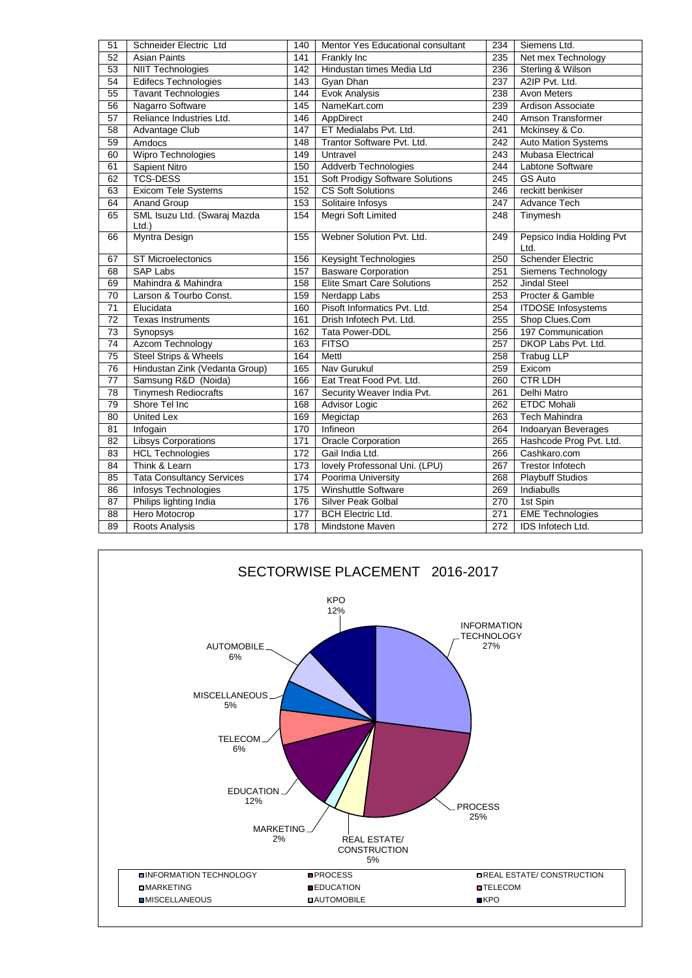| 51              | Schneider Electric Ltd                   | 140              | Mentor Yes Educational consultant      | 234              | Siemens Ltd.                      |
|-----------------|------------------------------------------|------------------|----------------------------------------|------------------|-----------------------------------|
| 52              | <b>Asian Paints</b>                      | 141              | Frankly Inc                            | 235              | Net mex Technology                |
| $\overline{53}$ | <b>NIIT Technologies</b>                 | $\overline{142}$ | Hindustan times Media Ltd              | 236              | Sterling & Wilson                 |
| 54              | <b>Edifecs Technologies</b>              | 143              | Gyan Dhan                              | $\overline{237}$ | A2IP Pvt. Ltd.                    |
| 55              | <b>Tavant Technologies</b>               | 144              | <b>Evok Analysis</b>                   | 238              | <b>Avon Meters</b>                |
| 56              | Nagarro Software                         | 145              | NameKart.com                           | 239              | Ardison Associate                 |
| 57              | Reliance Industries Ltd.                 | 146              | AppDirect                              | 240              | Amson Transformer                 |
| 58              | <b>Advantage Club</b>                    | 147              | ET Medialabs Pvt. Ltd.                 | 241              | Mckinsey & Co.                    |
| 59              | Amdocs                                   | 148              | Trantor Software Pvt. Ltd.             | 242              | <b>Auto Mation Systems</b>        |
| 60              | Wipro Technologies                       | 149              | Untravel                               | 243              | Mubasa Electrical                 |
| 61              | Sapient Nitro                            | 150              | <b>Addverb Technologies</b>            | 244              | Labtone Software                  |
| 62              | <b>TCS-DESS</b>                          | 151              | <b>Soft Prodigy Software Solutions</b> | $\overline{245}$ | <b>GS Auto</b>                    |
| 63              | <b>Exicom Tele Systems</b>               | 152              | <b>CS Soft Solutions</b>               | 246              | reckitt benkiser                  |
| 64              | <b>Anand Group</b>                       | 153              | Solitaire Infosys                      | $\overline{247}$ | <b>Advance Tech</b>               |
| 65              | SML Isuzu Ltd. (Swaraj Mazda<br>$Ltd.$ ) | 154              | Megri Soft Limited                     | 248              | Tinymesh                          |
| 66              | Myntra Design                            | 155              | Webner Solution Pvt. Ltd.              | 249              | Pepsico India Holding Pvt<br>Ltd. |
| 67              | <b>ST Microelectonics</b>                | 156              | Keysight Technologies                  | 250              | <b>Schender Electric</b>          |
| 68              | <b>SAP Labs</b>                          | 157              | <b>Basware Corporation</b>             | 251              | Siemens Technology                |
| 69              | Mahindra & Mahindra                      | 158              | <b>Elite Smart Care Solutions</b>      | 252              | <b>Jindal Steel</b>               |
| 70              | Larson & Tourbo Const.                   | 159              | Nerdapp Labs                           | 253              | Procter & Gamble                  |
| $\overline{71}$ | Elucidata                                | 160              | Pisoft Informatics Pvt. Ltd.           | 254              | <b>ITDOSE</b> Infosystems         |
| 72              | <b>Texas Instruments</b>                 | 161              | Drish Infotech Pvt. Ltd.               | 255              | Shop Clues.Com                    |
| 73              | Synopsys                                 | 162              | <b>Tata Power-DDL</b>                  | 256              | 197 Communication                 |
| $\overline{74}$ | <b>Azcom Technology</b>                  | 163              | <b>FITSO</b>                           | 257              | DKOP Labs Pvt. Ltd.               |
| 75              | <b>Steel Strips &amp; Wheels</b>         | 164              | Mettl                                  | 258              | <b>Trabug LLP</b>                 |
| $\overline{76}$ | Hindustan Zink (Vedanta Group)           | 165              | Nav Gurukul                            | 259              | Exicom                            |
| 77              | Samsung R&D (Noida)                      | 166              | Eat Treat Food Pvt. Ltd.               | 260              | <b>CTR LDH</b>                    |
| 78              | <b>Tinymesh Rediocrafts</b>              | 167              | Security Weaver India Pvt.             | $\overline{261}$ | Delhi Matro                       |
| 79              | Shore Tel Inc                            | 168              | <b>Advisor Logic</b>                   | $\overline{262}$ | <b>ETDC Mohali</b>                |
| 80              | <b>United Lex</b>                        | 169              | Megictap                               | 263              | <b>Tech Mahindra</b>              |
| 81              | Infogain                                 | 170              | Infineon                               | 264              | Indoaryan Beverages               |
| 82              | <b>Libsys Corporations</b>               | $\frac{1}{171}$  | <b>Oracle Corporation</b>              | 265              | Hashcode Prog Pvt. Ltd.           |
| 83              | <b>HCL Technologies</b>                  | 172              | Gail India Ltd.                        | 266              | Cashkaro.com                      |
| 84              | Think & Learn                            | 173              | lovely Professonal Uni. (LPU)          | 267              | <b>Trestor Infotech</b>           |
| 85              | <b>Tata Consultancy Services</b>         | 174              | Poorima University                     | 268              | <b>Playbuff Studios</b>           |
| 86              | <b>Infosys Technologies</b>              | 175              | <b>Winshuttle Software</b>             | 269              | Indiabulls                        |
| 87              | Philips lighting India                   | 176              | Silver Peak Golbal                     | 270              | 1st Spin                          |
| $\overline{88}$ | Hero Motocrop                            | 177              | <b>BCH Electric Ltd.</b>               | 271              | <b>EME Technologies</b>           |
| 89              | <b>Roots Analysis</b>                    | $\overline{178}$ | Mindstone Maven                        | $\overline{272}$ | <b>IDS Infotech Ltd.</b>          |

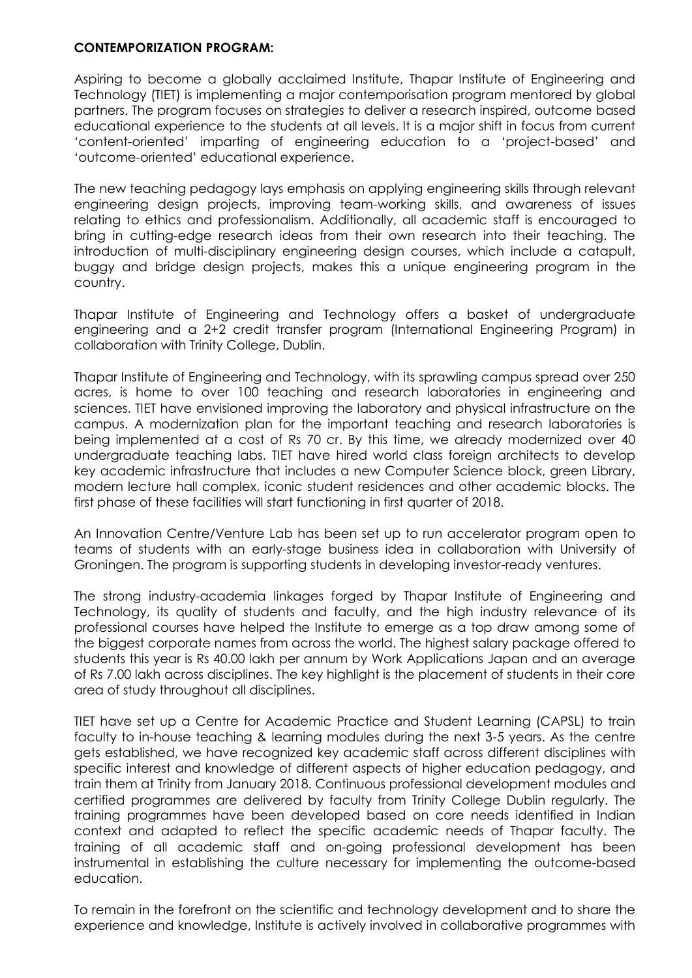#### **CONTEMPORIZATION PROGRAM:**

Aspiring to become a globally acclaimed Institute, Thapar Institute of Engineering and Technology (TIET) is implementing a major contemporisation program mentored by global partners. The program focuses on strategies to deliver a research inspired, outcome based educational experience to the students at all levels. It is a major shift in focus from current 'content-oriented' imparting of engineering education to a 'project-based' and 'outcome-oriented' educational experience.

The new teaching pedagogy lays emphasis on applying engineering skills through relevant engineering design projects, improving team-working skills, and awareness of issues relating to ethics and professionalism. Additionally, all academic staff is encouraged to bring in cutting-edge research ideas from their own research into their teaching. The introduction of multi-disciplinary engineering design courses, which include a catapult, buggy and bridge design projects, makes this a unique engineering program in the country.

Thapar Institute of Engineering and Technology offers a basket of undergraduate engineering and a 2+2 credit transfer program (International Engineering Program) in collaboration with Trinity College, Dublin.

Thapar Institute of Engineering and Technology, with its sprawling campus spread over 250 acres, is home to over 100 teaching and research laboratories in engineering and sciences. TIET have envisioned improving the laboratory and physical infrastructure on the campus. A modernization plan for the important teaching and research laboratories is being implemented at a cost of Rs 70 cr. By this time, we already modernized over 40 undergraduate teaching labs. TIET have hired world class foreign architects to develop key academic infrastructure that includes a new Computer Science block, green Library, modern lecture hall complex, iconic student residences and other academic blocks. The first phase of these facilities will start functioning in first quarter of 2018.

An Innovation Centre/Venture Lab has been set up to run accelerator program open to teams of students with an early-stage business idea in collaboration with University of Groningen. The program is supporting students in developing investor-ready ventures.

The strong industry-academia linkages forged by Thapar Institute of Engineering and Technology, its quality of students and faculty, and the high industry relevance of its professional courses have helped the Institute to emerge as a top draw among some of the biggest corporate names from across the world. The highest salary package offered to students this year is Rs 40.00 lakh per annum by Work Applications Japan and an average of Rs 7.00 lakh across disciplines. The key highlight is the placement of students in their core area of study throughout all disciplines.

TIET have set up a Centre for Academic Practice and Student Learning (CAPSL) to train faculty to in-house teaching & learning modules during the next 3-5 years. As the centre gets established, we have recognized key academic staff across different disciplines with specific interest and knowledge of different aspects of higher education pedagogy, and train them at Trinity from January 2018. Continuous professional development modules and certified programmes are delivered by faculty from Trinity College Dublin regularly. The training programmes have been developed based on core needs identified in Indian context and adapted to reflect the specific academic needs of Thapar faculty. The training of all academic staff and on-going professional development has been instrumental in establishing the culture necessary for implementing the outcome-based education.

To remain in the forefront on the scientific and technology development and to share the experience and knowledge, Institute is actively involved in collaborative programmes with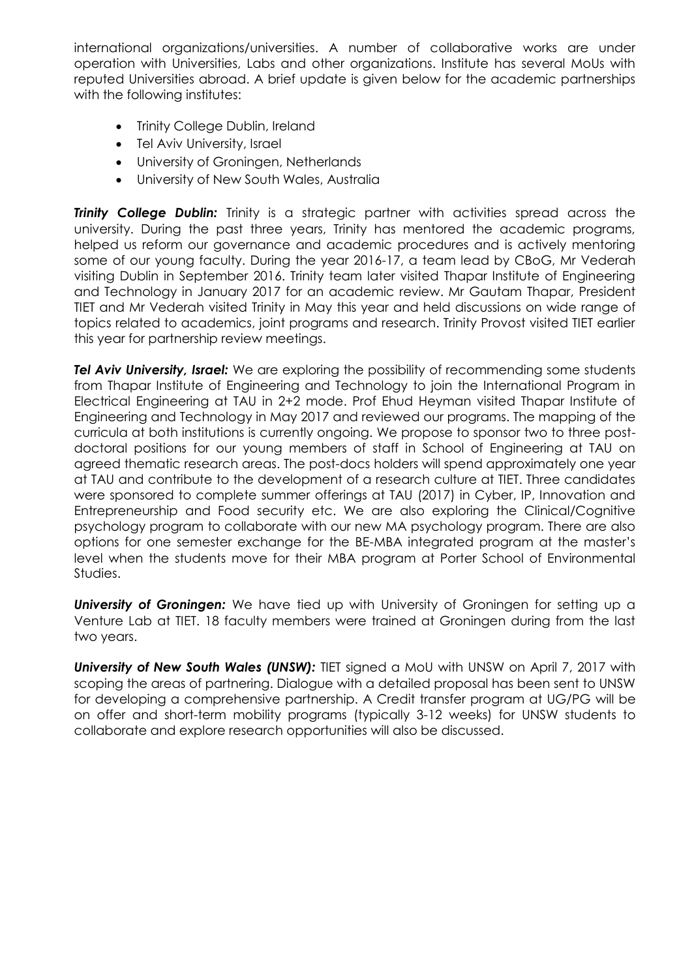international organizations/universities. A number of collaborative works are under operation with Universities, Labs and other organizations. Institute has several MoUs with reputed Universities abroad. A brief update is given below for the academic partnerships with the following institutes:

- Trinity College Dublin, Ireland
- Tel Aviv University, Israel
- University of Groningen, Netherlands
- University of New South Wales, Australia

**Trinity College Dublin:** Trinity is a strategic partner with activities spread across the university. During the past three years, Trinity has mentored the academic programs, helped us reform our governance and academic procedures and is actively mentoring some of our young faculty. During the year 2016-17, a team lead by CBoG, Mr Vederah visiting Dublin in September 2016. Trinity team later visited Thapar Institute of Engineering and Technology in January 2017 for an academic review. Mr Gautam Thapar, President TIET and Mr Vederah visited Trinity in May this year and held discussions on wide range of topics related to academics, joint programs and research. Trinity Provost visited TIET earlier this year for partnership review meetings.

**Tel Aviv University, Israel:** We are exploring the possibility of recommending some students from Thapar Institute of Engineering and Technology to join the International Program in Electrical Engineering at TAU in 2+2 mode. Prof Ehud Heyman visited Thapar Institute of Engineering and Technology in May 2017 and reviewed our programs. The mapping of the curricula at both institutions is currently ongoing. We propose to sponsor two to three postdoctoral positions for our young members of staff in School of Engineering at TAU on agreed thematic research areas. The post-docs holders will spend approximately one year at TAU and contribute to the development of a research culture at TIET. Three candidates were sponsored to complete summer offerings at TAU (2017) in Cyber, IP, Innovation and Entrepreneurship and Food security etc. We are also exploring the Clinical/Cognitive psychology program to collaborate with our new MA psychology program. There are also options for one semester exchange for the BE-MBA integrated program at the master's level when the students move for their MBA program at Porter School of Environmental Studies.

**University of Groningen:** We have tied up with University of Groningen for setting up a Venture Lab at TIET. 18 faculty members were trained at Groningen during from the last two years.

*University of New South Wales (UNSW):* TIET signed a MoU with UNSW on April 7, 2017 with scoping the areas of partnering. Dialogue with a detailed proposal has been sent to UNSW for developing a comprehensive partnership. A Credit transfer program at UG/PG will be on offer and short-term mobility programs (typically 3-12 weeks) for UNSW students to collaborate and explore research opportunities will also be discussed.